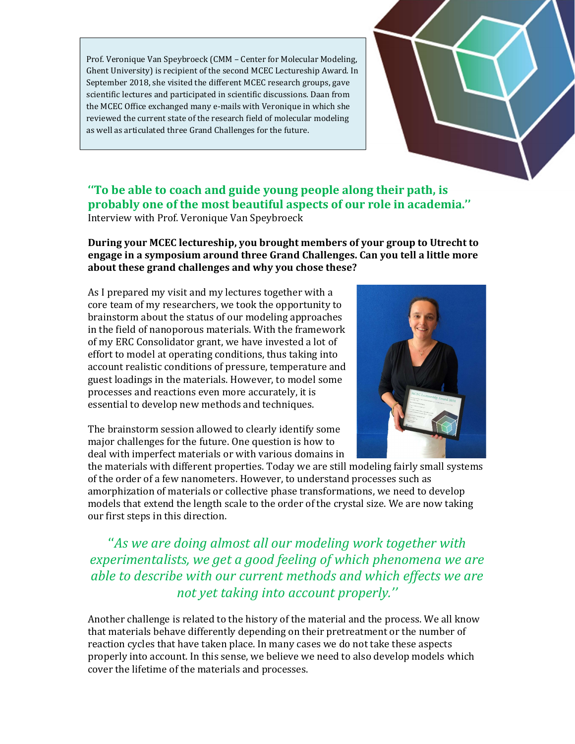Prof. Veronique Van Speybroeck (CMM – Center for Molecular Modeling, Ghent University) is recipient of the second MCEC Lectureship Award. In September 2018, she visited the different MCEC research groups, gave scientific lectures and participated in scientific discussions. Daan from the MCEC Office exchanged many e-mails with Veronique in which she reviewed the current state of the research field of molecular modeling as well as articulated three Grand Challenges for the future.



### ''To be able to coach and guide young people along their path, is probably one of the most beautiful aspects of our role in academia.'' Interview with Prof. Veronique Van Speybroeck

During your MCEC lectureship, you brought members of your group to Utrecht to engage in a symposium around three Grand Challenges. Can you tell a little more about these grand challenges and why you chose these?

As I prepared my visit and my lectures together with a core team of my researchers, we took the opportunity to brainstorm about the status of our modeling approaches in the field of nanoporous materials. With the framework of my ERC Consolidator grant, we have invested a lot of effort to model at operating conditions, thus taking into account realistic conditions of pressure, temperature and guest loadings in the materials. However, to model some processes and reactions even more accurately, it is essential to develop new methods and techniques.

The brainstorm session allowed to clearly identify some major challenges for the future. One question is how to deal with imperfect materials or with various domains in

the materials with different properties. Today we are still modeling fairly small systems of the order of a few nanometers. However, to understand processes such as amorphization of materials or collective phase transformations, we need to develop models that extend the length scale to the order of the crystal size. We are now taking

our first steps in this direction.<br>*''As we are doing almost all our modeling work together with* experimentalists, we get a good feeling of which phenomena we are able to describe with our current methods and which effects we are not yet taking into account properly.''

Another challenge is related to the history of the material and the process. We all know that materials behave differently depending on their pretreatment or the number of reaction cycles that have taken place. In many cases we do not take these aspects properly into account. In this sense, we believe we need to also develop models which cover the lifetime of the materials and processes.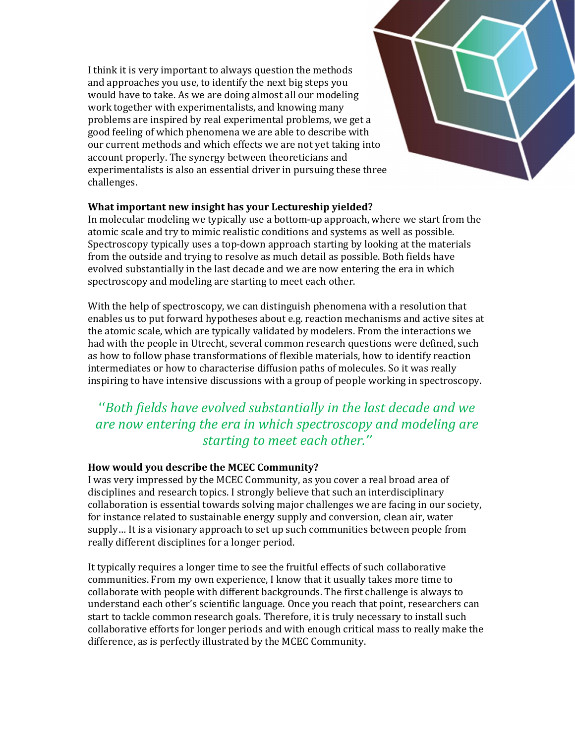I think it is very important to always question the methods and approaches you use, to identify the next big steps you would have to take. As we are doing almost all our modeling work together with experimentalists, and knowing many problems are inspired by real experimental problems, we get a good feeling of which phenomena we are able to describe with our current methods and which effects we are not yet taking into account properly. The synergy between theoreticians and experimentalists is also an essential driver in pursuing these three challenges.

### What important new insight has your Lectureship yielded?

In molecular modeling we typically use a bottom-up approach, where we start from the atomic scale and try to mimic realistic conditions and systems as well as possible. Spectroscopy typically uses a top-down approach starting by looking at the materials from the outside and trying to resolve as much detail as possible. Both fields have evolved substantially in the last decade and we are now entering the era in which spectroscopy and modeling are starting to meet each other.

With the help of spectroscopy, we can distinguish phenomena with a resolution that enables us to put forward hypotheses about e.g. reaction mechanisms and active sites at the atomic scale, which are typically validated by modelers. From the interactions we had with the people in Utrecht, several common research questions were defined, such as how to follow phase transformations of flexible materials, how to identify reaction intermediates or how to characterise diffusion paths of molecules. So it was really

## inspiring to have intensive discussions with a group of people working in spectroscopy. ''Both fields have evolved substantially in the last decade and we are now entering the era in which spectroscopy and modeling are starting to meet each other.''

### How would you describe the MCEC Community?

I was very impressed by the MCEC Community, as you cover a real broad area of disciplines and research topics. I strongly believe that such an interdisciplinary collaboration is essential towards solving major challenges we are facing in our society, for instance related to sustainable energy supply and conversion, clean air, water supply… It is a visionary approach to set up such communities between people from really different disciplines for a longer period.

It typically requires a longer time to see the fruitful effects of such collaborative communities. From my own experience, I know that it usually takes more time to collaborate with people with different backgrounds. The first challenge is always to understand each other's scientific language. Once you reach that point, researchers can start to tackle common research goals. Therefore, it is truly necessary to install such collaborative efforts for longer periods and with enough critical mass to really make the difference, as is perfectly illustrated by the MCEC Community.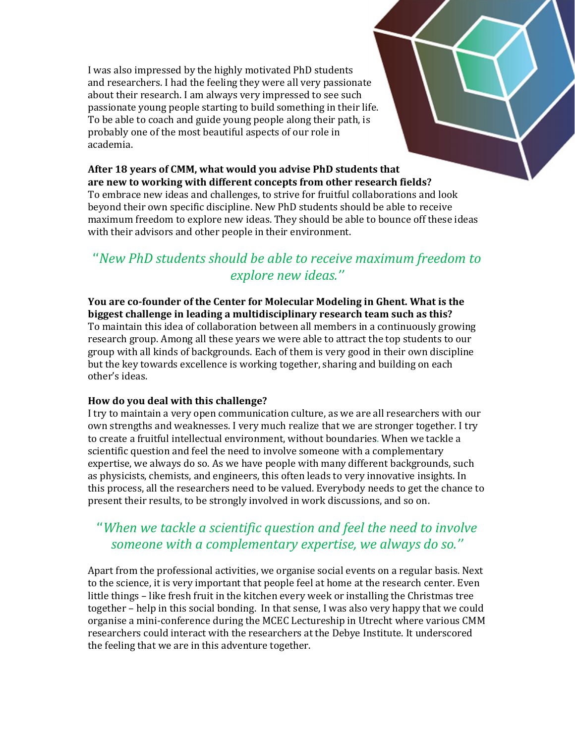I was also impressed by the highly motivated PhD students and researchers. I had the feeling they were all very passionate about their research. I am always very impressed to see such passionate young people starting to build something in their life. To be able to coach and guide young people along their path, is probably one of the most beautiful aspects of our role in academia.

## After 18 years of CMM, what would you advise PhD students that

are new to working with different concepts from other research fields?<br>To embrace new ideas and challenges, to strive for fruitful collaborations and look beyond their own specific discipline. New PhD students should be able to receive maximum freedom to explore new ideas. They should be able to bounce off these ideas

# with their advisors and other people in their environment.<br>''New PhD students should be able to receive maximum freedom to explore new ideas.''

You are co-founder of the Center for Molecular Modeling in Ghent. What is the biggest challenge in leading a multidisciplinary research team such as this? To maintain this idea of collaboration between all members in a continuously growing research group. Among all these years we were able to attract the top students to our group with all kinds of backgrounds. Each of them is very good in their own discipline but the key towards excellence is working together, sharing and building on each other's ideas.

### How do you deal with this challenge?

I try to maintain a very open communication culture, as we are all researchers with our own strengths and weaknesses. I very much realize that we are stronger together. I try to create a fruitful intellectual environment, without boundaries. When we tackle a scientific question and feel the need to involve someone with a complementary expertise, we always do so. As we have people with many different backgrounds, such as physicists, chemists, and engineers, this often leads to very innovative insights. In this process, all the researchers need to be valued. Everybody needs to get the chance to present their results, to be strongly involved in work discussions, and so on.

### ''When we tackle a scientific question and feel the need to involve someone with a complementary expertise, we always do so.''

Apart from the professional activities, we organise social events on a regular basis. Next to the science, it is very important that people feel at home at the research center. Even little things – like fresh fruit in the kitchen every week or installing the Christmas tree together – help in this social bonding. In that sense, I was also very happy that we could organise a mini-conference during the MCEC Lectureship in Utrecht where various CMM researchers could interact with the researchers at the Debye Institute. It underscored the feeling that we are in this adventure together.